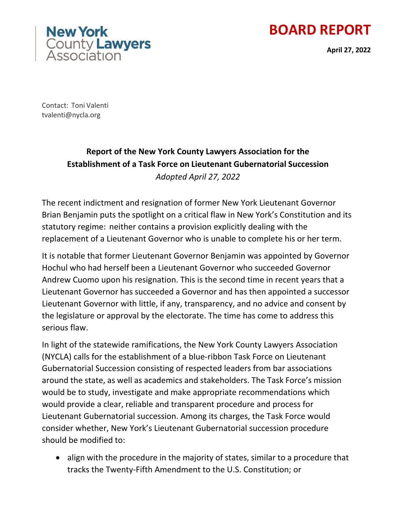





Contact: Toni Valenti [tvalenti@nycla.org](mailto:tvalenti@nycla.org)

# **Report of the New York County Lawyers Association for the Establishment of a Task Force on Lieutenant Gubernatorial Succession**  *Adopted April 27, 2022*

The recent indictment and resignation of former New York Lieutenant Governor Brian Benjamin puts the spotlight on a critical flaw in New York's Constitution and its statutory regime: neither contains a provision explicitly dealing with the replacement of a Lieutenant Governor who is unable to complete his or her term.

It is notable that former Lieutenant Governor Benjamin was appointed by Governor Hochul who had herself been a Lieutenant Governor who succeeded Governor Andrew Cuomo upon his resignation. This is the second time in recent years that a Lieutenant Governor has succeeded a Governor and has then appointed a successor Lieutenant Governor with little, if any, transparency, and no advice and consent by the legislature or approval by the electorate. The time has come to address this serious flaw.

In light of the statewide ramifications, the New York County Lawyers Association (NYCLA) calls for the establishment of a blue-ribbon Task Force on Lieutenant Gubernatorial Succession consisting of respected leaders from bar associations around the state, as well as academics and stakeholders. The Task Force's mission would be to study, investigate and make appropriate recommendations which would provide a clear, reliable and transparent procedure and process for Lieutenant Gubernatorial succession. Among its charges, the Task Force would consider whether, New York's Lieutenant Gubernatorial succession procedure should be modified to:

• align with the procedure in the majority of states, similar to a procedure that tracks the Twenty-Fifth Amendment to the U.S. Constitution; or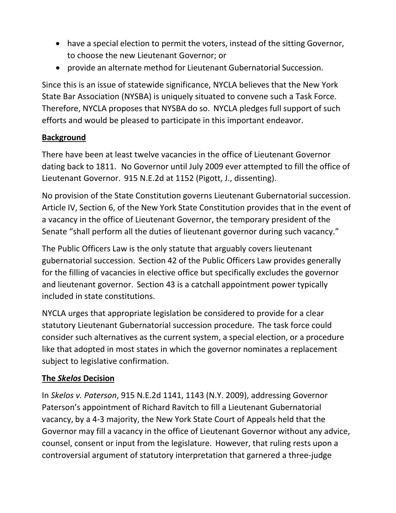- have a special election to permit the voters, instead of the sitting Governor, to choose the new Lieutenant Governor; or
- provide an alternate method for Lieutenant Gubernatorial Succession.

Since this is an issue of statewide significance, NYCLA believes that the New York State Bar Association (NYSBA) is uniquely situated to convene such a Task Force. Therefore, NYCLA proposes that NYSBA do so. NYCLA pledges full support of such efforts and would be pleased to participate in this important endeavor.

### **Background**

There have been at least twelve vacancies in the office of Lieutenant Governor dating back to 1811. No Governor until July 2009 ever attempted to fill the office of Lieutenant Governor. 915 N.E.2d at 1152 (Pigott, J., dissenting).

No provision of the State Constitution governs Lieutenant Gubernatorial succession. Article IV, Section 6, of the New York State Constitution provides that in the event of a vacancy in the office of Lieutenant Governor, the temporary president of the Senate "shall perform all the duties of lieutenant governor during such vacancy."

The Public Officers Law is the only statute that arguably covers lieutenant gubernatorial succession. Section 42 of the Public Officers Law provides generally for the filling of vacancies in elective office but specifically excludes the governor and lieutenant governor. Section 43 is a catchall appointment power typically included in state constitutions.

NYCLA urges that appropriate legislation be considered to provide for a clear statutory Lieutenant Gubernatorial succession procedure. The task force could consider such alternatives as the current system, a special election, or a procedure like that adopted in most states in which the governor nominates a replacement subject to legislative confirmation.

### **The** *Skelos* **Decision**

In *Skelos v. Paterson*, 915 N.E.2d 1141, 1143 (N.Y. 2009), addressing Governor Paterson's appointment of Richard Ravitch to fill a Lieutenant Gubernatorial vacancy, by a 4-3 majority, the New York State Court of Appeals held that the Governor may fill a vacancy in the office of Lieutenant Governor without any advice, counsel, consent or input from the legislature. However, that ruling rests upon a controversial argument of statutory interpretation that garnered a three-judge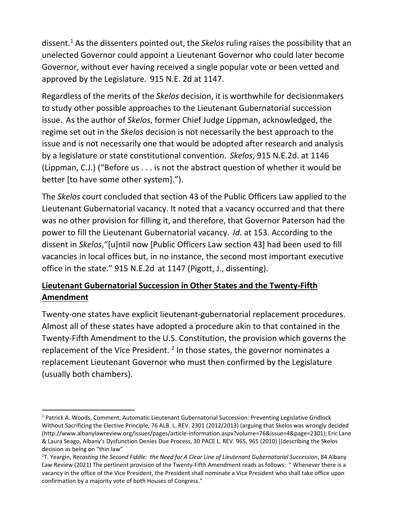dissent[.1](#page-2-0) As the dissenters pointed out, the *Skelos* ruling raises the possibility that an unelected Governor could appoint a Lieutenant Governor who could later become Governor, without ever having received a single popular vote or been vetted and approved by the Legislature. 915 N.E. 2d at 1147.

Regardless of the merits of the *Skelos* decision, it is worthwhile for decisionmakers to study other possible approaches to the Lieutenant Gubernatorial succession issue. As the author of *Skelos*, former Chief Judge Lippman, acknowledged, the regime set out in the *Skelos* decision is not necessarily the best approach to the issue and is not necessarily one that would be adopted after research and analysis by a legislature or state constitutional convention. *Skelos*, 915 N.E.2d. at 1146 (Lippman, C.J.) ("Before us . . . is not the abstract question of whether it would be better [to have some other system].").

The *Skelos* court concluded that section 43 of the Public Officers Law applied to the Lieutenant Gubernatorial vacancy. It noted that a vacancy occurred and that there was no other provision for filling it, and therefore, that Governor Paterson had the power to fill the Lieutenant Gubernatorial vacancy. *Id*. at 153. According to the dissent in *Skelos*,"[u]ntil now [Public Officers Law section 43] had been used to fill vacancies in local offices but, in no instance, the second most important executive office in the state." 915 N.E.2d at 1147 (Pigott, J., dissenting).

## **Lieutenant Gubernatorial Succession in Other States and the Twenty-Fifth Amendment**

Twenty-one states have explicit lieutenant-gubernatorial replacement procedures. Almost all of these states have adopted a procedure akin to that contained in the Twenty-Fifth Amendment to the U.S. Constitution, the provision which governs the replacement of the Vice President.<sup>2</sup> In those states, the governor nominates a replacement Lieutenant Governor who must then confirmed by the Legislature (usually both chambers).

<span id="page-2-0"></span><sup>&</sup>lt;sup>1</sup> Patrick A. Woods, Comment, Automatic Lieutenant Gubernatorial Succession: Preventing Legislative Gridlock Without Sacrificing the Elective Principle, 76 ALB. L. REV. 2301 (2012/2013) (arguing that Skelos was wrongly decided [\(http://www.albanylawreview.org/issues/pages/article-information.aspx?volume=76&issue=4&page=2301\);](http://www.albanylawreview.org/issues/pages/article-information.aspx?volume=76&issue=4&page=2301)%3B) Eric Lane & Laura Seago, Albany's Dysfunction Denies Due Process, 30 PACE L. REV. 965, 965 (2010) [(describing the Skelos decision as being on "thin law"

<span id="page-2-1"></span><sup>2</sup> T. Yeargin, *Recasting the Second Fiddle: the Need for A Clear Line of Lieutenant Gubernatorial Succession*, 84 Albany Law Review (2021) The pertinent provision of the Twenty-Fifth Amendment reads as follows: " Whenever there is a vacancy in the office of the Vice President, the President shall nominate a Vice President who shall take office upon confirmation by a majority vote of both Houses of Congress."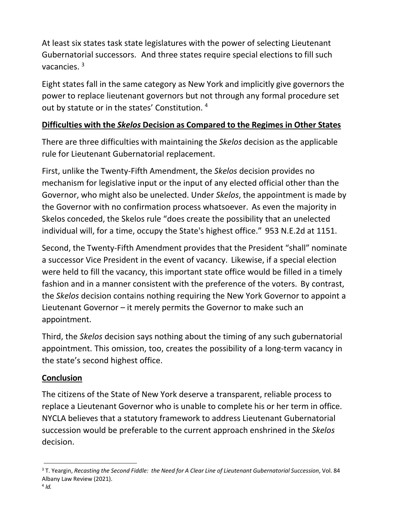At least six states task state legislatures with the power of selecting Lieutenant Gubernatorial successors. And three states require special elections to fill such vacancies. [3](#page-3-0)

Eight states fall in the same category as New York and implicitly give governors the power to replace lieutenant governors but not through any formal procedure set out by statute or in the states' Constitution. [4](#page-3-1)

### **Difficulties with the** *Skelos* **Decision as Compared to the Regimes in Other States**

There are three difficulties with maintaining the *Skelos* decision as the applicable rule for Lieutenant Gubernatorial replacement.

First, unlike the Twenty-Fifth Amendment, the *Skelos* decision provides no mechanism for legislative input or the input of any elected official other than the Governor, who might also be unelected. Under *Skelos*, the appointment is made by the Governor with no confirmation process whatsoever. As even the majority in Skelos conceded, the Skelos rule "does create the possibility that an unelected individual will, for a time, occupy the State's highest office." 953 N.E.2d at 1151.

Second, the Twenty-Fifth Amendment provides that the President "shall" nominate a successor Vice President in the event of vacancy. Likewise, if a special election were held to fill the vacancy, this important state office would be filled in a timely fashion and in a manner consistent with the preference of the voters. By contrast, the *Skelos* decision contains nothing requiring the New York Governor to appoint a Lieutenant Governor – it merely permits the Governor to make such an appointment.

Third, the *Skelos* decision says nothing about the timing of any such gubernatorial appointment. This omission, too, creates the possibility of a long-term vacancy in the state's second highest office.

#### **Conclusion**

The citizens of the State of New York deserve a transparent, reliable process to replace a Lieutenant Governor who is unable to complete his or her term in office. NYCLA believes that a statutory framework to address Lieutenant Gubernatorial succession would be preferable to the current approach enshrined in the *Skelos*  decision.

<span id="page-3-1"></span><span id="page-3-0"></span><sup>3</sup> T. Yeargin, *Recasting the Second Fiddle: the Need for A Clear Line of Lieutenant Gubernatorial Succession*, Vol. 84 Albany Law Review (2021).